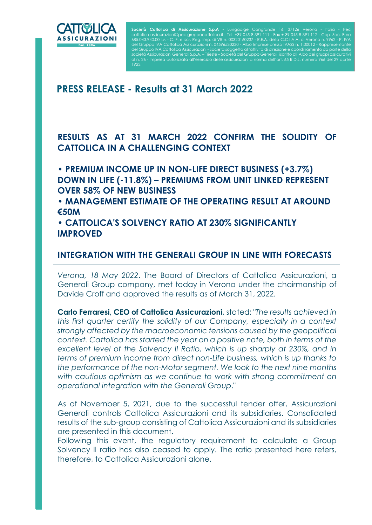

I

Società Cattolica di Assicurazione S.p.A - Lungadige Cangrande 16, 37126 Verona - Italia - Pec cattolica.assicurazioni@pec.gruppocattolica.it - Tel. +39 045 8 391 111 - Fax + 39 045 8 391 112 - Cap. Soc. Euro 685.043.940,00 i.v. - C. F. e iscr. Reg. Imp. di VR n. 00320160237 - R.E.A. della C.C.I.A.A. di Verona n. 9962 - P. IVA del Gruppo IVA Cattolica Assicurazioni n. 04596530230 - Albo Imprese presso IVASS n. uppo IVA Cattolica Assicurazioni - Società soggetta all'attività di direzione e coordinamento d' età Assicurazioni Generali S.p.A. – Trieste – Società del Gruppo Generali, iscritto all'Albo dei gruppi al n. 26 - Impresa autorizzata all'esercizio delle assicurazioni a norma dell'art. 65 R.D.L. numero 966 del 29 aprile

# PRESS RELEASE - Results at 31 March 2022

# RESULTS AS AT 31 MARCH 2022 CONFIRM THE SOLIDITY OF CATTOLICA IN A CHALLENGING CONTEXT

• PREMIUM INCOME UP IN NON-LIFE DIRECT BUSINESS (+3.7%) DOWN IN LIFE (-11.8%) – PREMIUMS FROM UNIT LINKED REPRESENT OVER 58% OF NEW BUSINESS

• MANAGEMENT ESTIMATE OF THE OPERATING RESULT AT AROUND €50M

• CATTOLICA'S SOLVENCY RATIO AT 230% SIGNIFICANTLY IMPROVED

# INTEGRATION WITH THE GENERALI GROUP IN LINE WITH FORECASTS

Verona, 18 May 2022. The Board of Directors of Cattolica Assicurazioni, a Generali Group company, met today in Verona under the chairmanship of Davide Croff and approved the results as of March 31, 2022.

Carlo Ferraresi, CEO of Cattolica Assicurazioni, stated: "The results achieved in this first quarter certify the solidity of our Company, especially in a context strongly affected by the macroeconomic tensions caused by the geopolitical context. Cattolica has started the year on a positive note, both in terms of the excellent level of the Solvency II Ratio, which is up sharply at 230%, and in terms of premium income from direct non-Life business, which is up thanks to the performance of the non-Motor segment. We look to the next nine months with cautious optimism as we continue to work with strong commitment on operational integration with the Generali Group."

As of November 5, 2021, due to the successful tender offer, Assicurazioni Generali controls Cattolica Assicurazioni and its subsidiaries. Consolidated results of the sub-group consisting of Cattolica Assicurazioni and its subsidiaries are presented in this document.

Following this event, the regulatory requirement to calculate a Group Solvency II ratio has also ceased to apply. The ratio presented here refers, therefore, to Cattolica Assicurazioni alone.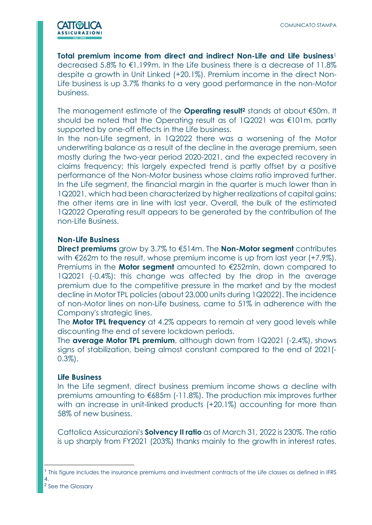

Total premium income from direct and indirect Non-Life and Life business<sup>1</sup> decreased 5.8% to €1,199m. In the Life business there is a decrease of 11.8% despite a growth in Unit Linked (+20.1%). Premium income in the direct Non-Life business is up 3.7% thanks to a very good performance in the non-Motor business.

The management estimate of the **Operating result<sup>2</sup>** stands at about  $\epsilon$ 50m. It should be noted that the Operating result as of 1Q2021 was €101m, partly supported by one-off effects in the Life business.

In the non-Life segment, in 1Q2022 there was a worsening of the Motor underwriting balance as a result of the decline in the average premium, seen mostly during the two-year period 2020-2021, and the expected recovery in claims frequency; this largely expected trend is partly offset by a positive performance of the Non-Motor business whose claims ratio improved further. In the Life segment, the financial margin in the quarter is much lower than in 1Q2021, which had been characterized by higher realizations of capital gains; the other items are in line with last year. Overall, the bulk of the estimated 1Q2022 Operating result appears to be generated by the contribution of the non-Life Business.

# Non-Life Business

Direct premiums grow by 3.7% to  $6514$ m. The Non-Motor segment contributes with €262m to the result, whose premium income is up from last year (+7.9%). Premiums in the **Motor segment** amounted to  $\epsilon$ 252mln, down compared to 1Q2021 (-0.4%): this change was affected by the drop in the average premium due to the competitive pressure in the market and by the modest decline in Motor TPL policies (about 23,000 units during 1Q2022). The incidence of non-Motor lines on non-Life business, came to 51% in adherence with the Company's strategic lines.

The **Motor TPL frequency** at 4.2% appears to remain at very good levels while discounting the end of severe lockdown periods.

The **average Motor TPL premium**, although down from  $1Q2021$  (-2.4%), shows signs of stabilization, being almost constant compared to the end of 2021(- 0.3%).

## Life Business

In the Life segment, direct business premium income shows a decline with premiums amounting to €685m (-11.8%). The production mix improves further with an increase in unit-linked products (+20.1%) accounting for more than 58% of new business.

Cattolica Assicurazioni's **Solvency II ratio** as of March 31, 2022 is 230%. The ratio is up sharply from FY2021 (203%) thanks mainly to the growth in interest rates.

<sup>1</sup> This figure includes the insurance premiums and investment contracts of the Life classes as defined in IFRS 4.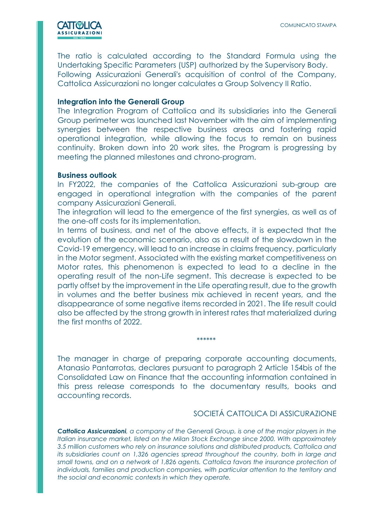

The ratio is calculated according to the Standard Formula using the Undertaking Specific Parameters (USP) authorized by the Supervisory Body. Following Assicurazioni Generali's acquisition of control of the Company, Cattolica Assicurazioni no longer calculates a Group Solvency II Ratio.

# Integration into the Generali Group

The Integration Program of Cattolica and its subsidiaries into the Generali Group perimeter was launched last November with the aim of implementing synergies between the respective business areas and fostering rapid operational integration, while allowing the focus to remain on business continuity. Broken down into 20 work sites, the Program is progressing by meeting the planned milestones and chrono-program.

### Business outlook

In FY2022, the companies of the Cattolica Assicurazioni sub-group are engaged in operational integration with the companies of the parent company Assicurazioni Generali.

The integration will lead to the emergence of the first synergies, as well as of the one-off costs for its implementation.

In terms of business, and net of the above effects, it is expected that the evolution of the economic scenario, also as a result of the slowdown in the Covid-19 emergency, will lead to an increase in claims frequency, particularly in the Motor segment. Associated with the existing market competitiveness on Motor rates, this phenomenon is expected to lead to a decline in the operating result of the non-Life segment. This decrease is expected to be partly offset by the improvement in the Life operating result, due to the growth in volumes and the better business mix achieved in recent years, and the disappearance of some negative items recorded in 2021. The life result could also be affected by the strong growth in interest rates that materialized during the first months of 2022.

# \*\*\*\*\*\*

The manager in charge of preparing corporate accounting documents, Atanasio Pantarrotas, declares pursuant to paragraph 2 Article 154bis of the Consolidated Law on Finance that the accounting information contained in this press release corresponds to the documentary results, books and accounting records.

# SOCIETÁ CATTOLICA DI ASSICURAZIONE

Cattolica Assicurazioni, a company of the Generali Group, is one of the major players in the Italian insurance market, listed on the Milan Stock Exchange since 2000. With approximately 3.5 million customers who rely on insurance solutions and distributed products, Cattolica and its subsidiaries count on 1,326 agencies spread throughout the country, both in large and small towns, and on a network of 1,826 agents. Cattolica favors the insurance protection of individuals, families and production companies, with particular attention to the territory and the social and economic contexts in which they operate.